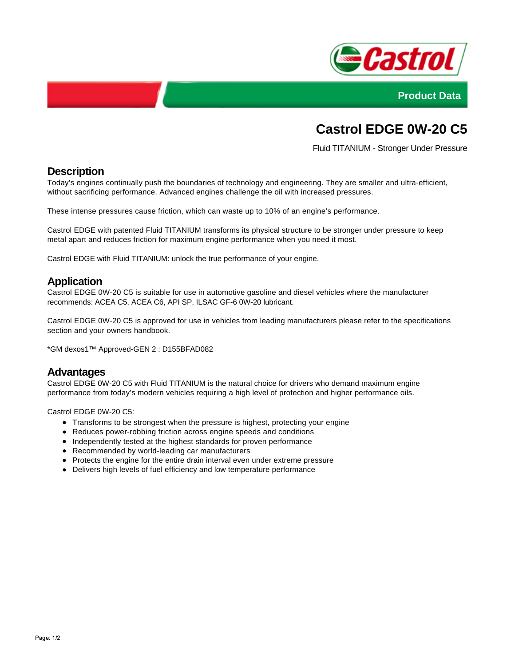



# **Castrol EDGE 0W-20 C5**

Fluid TITANIUM - Stronger Under Pressure

## **Description**

Today's engines continually push the boundaries of technology and engineering. They are smaller and ultra-efficient, without sacrificing performance. Advanced engines challenge the oil with increased pressures.

These intense pressures cause friction, which can waste up to 10% of an engine's performance.

Castrol EDGE with patented Fluid TITANIUM transforms its physical structure to be stronger under pressure to keep metal apart and reduces friction for maximum engine performance when you need it most.

Castrol EDGE with Fluid TITANIUM: unlock the true performance of your engine.

### **Application**

Castrol EDGE 0W-20 C5 is suitable for use in automotive gasoline and diesel vehicles where the manufacturer recommends: ACEA C5, ACEA C6, API SP, ILSAC GF-6 0W-20 lubricant.

Castrol EDGE 0W-20 C5 is approved for use in vehicles from leading manufacturers please refer to the specifications section and your owners handbook.

\*GM dexos1™ Approved-GEN 2 : D155BFAD082

#### **Advantages**

Castrol EDGE 0W-20 C5 with Fluid TITANIUM is the natural choice for drivers who demand maximum engine performance from today's modern vehicles requiring a high level of protection and higher performance oils.

Castrol EDGE 0W-20 C5:

- Transforms to be strongest when the pressure is highest, protecting your engine
- Reduces power-robbing friction across engine speeds and conditions
- Independently tested at the highest standards for proven performance
- Recommended by world-leading car manufacturers
- Protects the engine for the entire drain interval even under extreme pressure
- Delivers high levels of fuel efficiency and low temperature performance